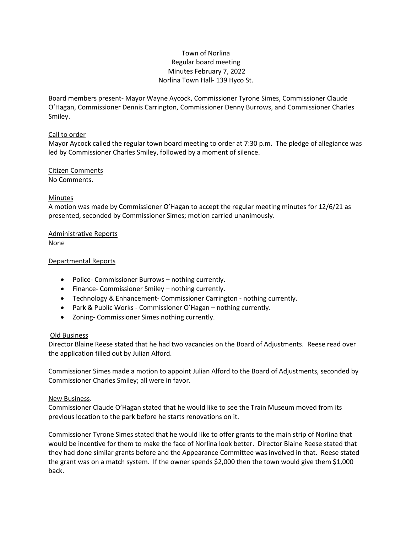# Town of Norlina Regular board meeting Minutes February 7, 2022 Norlina Town Hall- 139 Hyco St.

Board members present- Mayor Wayne Aycock, Commissioner Tyrone Simes, Commissioner Claude O'Hagan, Commissioner Dennis Carrington, Commissioner Denny Burrows, and Commissioner Charles Smiley.

## Call to order

Mayor Aycock called the regular town board meeting to order at 7:30 p.m. The pledge of allegiance was led by Commissioner Charles Smiley, followed by a moment of silence.

# Citizen Comments

No Comments.

# Minutes

A motion was made by Commissioner O'Hagan to accept the regular meeting minutes for 12/6/21 as presented, seconded by Commissioner Simes; motion carried unanimously.

#### Administrative Reports None

# Departmental Reports

- Police- Commissioner Burrows nothing currently.
- Finance- Commissioner Smiley nothing currently.
- Technology & Enhancement- Commissioner Carrington nothing currently.
- Park & Public Works Commissioner O'Hagan nothing currently.
- Zoning- Commissioner Simes nothing currently.

## Old Business

Director Blaine Reese stated that he had two vacancies on the Board of Adjustments. Reese read over the application filled out by Julian Alford.

Commissioner Simes made a motion to appoint Julian Alford to the Board of Adjustments, seconded by Commissioner Charles Smiley; all were in favor.

## New Business.

Commissioner Claude O'Hagan stated that he would like to see the Train Museum moved from its previous location to the park before he starts renovations on it.

Commissioner Tyrone Simes stated that he would like to offer grants to the main strip of Norlina that would be incentive for them to make the face of Norlina look better. Director Blaine Reese stated that they had done similar grants before and the Appearance Committee was involved in that. Reese stated the grant was on a match system. If the owner spends \$2,000 then the town would give them \$1,000 back.